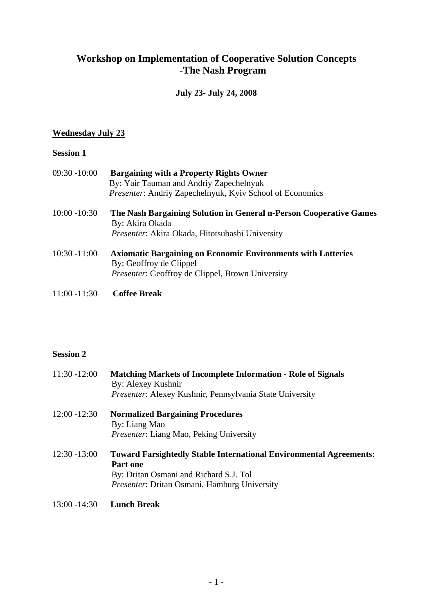# **Workshop on Implementation of Cooperative Solution Concepts -The Nash Program**

### **July 23- July 24, 2008**

# **Wednesday July 23**

## **Session 1**

| 09:30 -10:00    | <b>Bargaining with a Property Rights Owner</b><br>By: Yair Tauman and Andriy Zapechelnyuk<br>Presenter: Andriy Zapechelnyuk, Kyiv School of Economics     |
|-----------------|-----------------------------------------------------------------------------------------------------------------------------------------------------------|
| $10:00 - 10:30$ | The Nash Bargaining Solution in General n-Person Cooperative Games<br>By: Akira Okada<br><i>Presenter: Akira Okada, Hitotsubashi University</i>           |
| $10:30 - 11:00$ | <b>Axiomatic Bargaining on Economic Environments with Lotteries</b><br>By: Geoffroy de Clippel<br><i>Presenter:</i> Geoffroy de Clippel, Brown University |

11:00 -11:30 **Coffee Break**

#### **Session 2**

| $11:30 - 12:00$ | <b>Matching Markets of Incomplete Information - Role of Signals</b><br>By: Alexey Kushnir<br>Presenter: Alexey Kushnir, Pennsylvania State University                                  |
|-----------------|----------------------------------------------------------------------------------------------------------------------------------------------------------------------------------------|
| $12:00 - 12:30$ | <b>Normalized Bargaining Procedures</b><br>By: Liang Mao<br><i>Presenter: Liang Mao, Peking University</i>                                                                             |
| $12:30 - 13:00$ | <b>Toward Farsightedly Stable International Environmental Agreements:</b><br><b>Part one</b><br>By: Dritan Osmani and Richard S.J. Tol<br>Presenter: Dritan Osmani, Hamburg University |
| $13:00 - 14:30$ | <b>Lunch Break</b>                                                                                                                                                                     |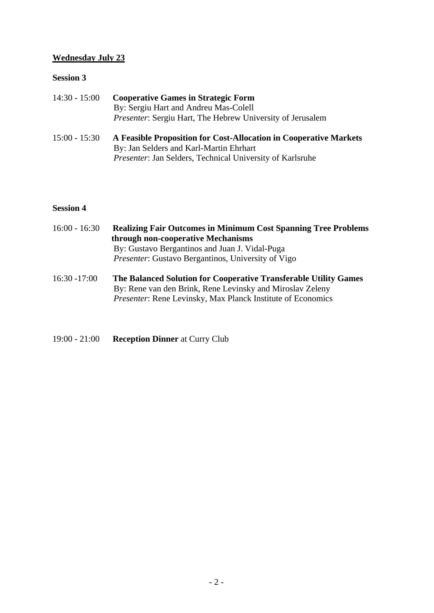#### **Wednesday July 23**

#### **Session 3**

| $14:30 - 15:00$ | <b>Cooperative Games in Strategic Form</b><br>By: Sergiu Hart and Andreu Mas-Colell |
|-----------------|-------------------------------------------------------------------------------------|
|                 | <i>Presenter:</i> Sergiu Hart, The Hebrew University of Jerusalem                   |
| $15:00 - 15:30$ | A Feasible Proposition for Cost-Allocation in Cooperative Marl                      |

15:00 - 15:30 **A Feasible Proposition for Cost-Allocation in Cooperative Markets** By: Jan Selders and Karl-Martin Ehrhart *Presenter*: Jan Selders, Technical University of Karlsruhe

## **Session 4**

| $16:00 - 16:30$ | <b>Realizing Fair Outcomes in Minimum Cost Spanning Tree Problems</b> |
|-----------------|-----------------------------------------------------------------------|
|                 | through non-cooperative Mechanisms                                    |
|                 | By: Gustavo Bergantinos and Juan J. Vidal-Puga                        |
|                 | <i>Presenter:</i> Gustavo Bergantinos, University of Vigo             |
|                 |                                                                       |

- 16:30 -17:00 **The Balanced Solution for Cooperative Transferable Utility Games** By: Rene van den Brink, Rene Levinsky and Miroslav Zeleny *Presenter*: Rene Levinsky, Max Planck Institute of Economics
- 19:00 21:00 **Reception Dinner** at Curry Club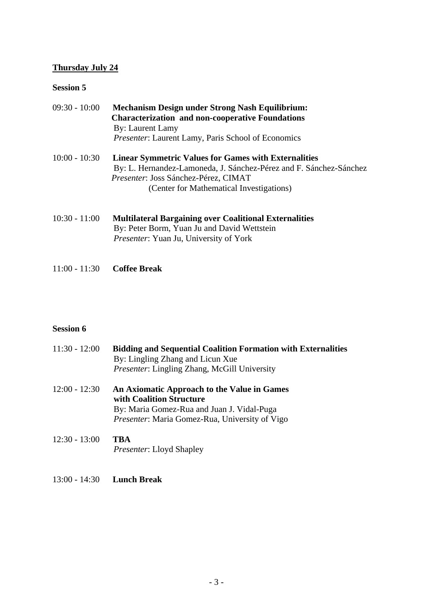### **Thursday July 24**

## **Session 5**

| $09:30 - 10:00$ | <b>Mechanism Design under Strong Nash Equilibrium:</b><br><b>Characterization and non-cooperative Foundations</b><br>By: Laurent Lamy<br><i>Presenter:</i> Laurent Lamy, Paris School of Economics                           |
|-----------------|------------------------------------------------------------------------------------------------------------------------------------------------------------------------------------------------------------------------------|
| $10:00 - 10:30$ | <b>Linear Symmetric Values for Games with Externalities</b><br>By: L. Hernandez-Lamoneda, J. Sánchez-Pérez and F. Sánchez-Sánchez<br><i>Presenter: Joss Sánchez-Pérez, CIMAT</i><br>(Center for Mathematical Investigations) |
| $10:30 - 11:00$ | <b>Multilateral Bargaining over Coalitional Externalities</b><br>By: Peter Borm, Yuan Ju and David Wettstein                                                                                                                 |

- *Presenter*: Yuan Ju, University of York
- 11:00 11:30 **Coffee Break**

## **Session 6**

| $11:30 - 12:00$ | <b>Bidding and Sequential Coalition Formation with Externalities</b><br>By: Lingling Zhang and Licun Xue<br><i>Presenter: Lingling Zhang, McGill University</i>                |
|-----------------|--------------------------------------------------------------------------------------------------------------------------------------------------------------------------------|
| $12:00 - 12:30$ | An Axiomatic Approach to the Value in Games<br>with Coalition Structure<br>By: Maria Gomez-Rua and Juan J. Vidal-Puga<br><i>Presenter:</i> Maria Gomez-Rua, University of Vigo |
| $12:30 - 13:00$ | TBA<br><i>Presenter:</i> Lloyd Shapley                                                                                                                                         |

13:00 - 14:30 **Lunch Break**